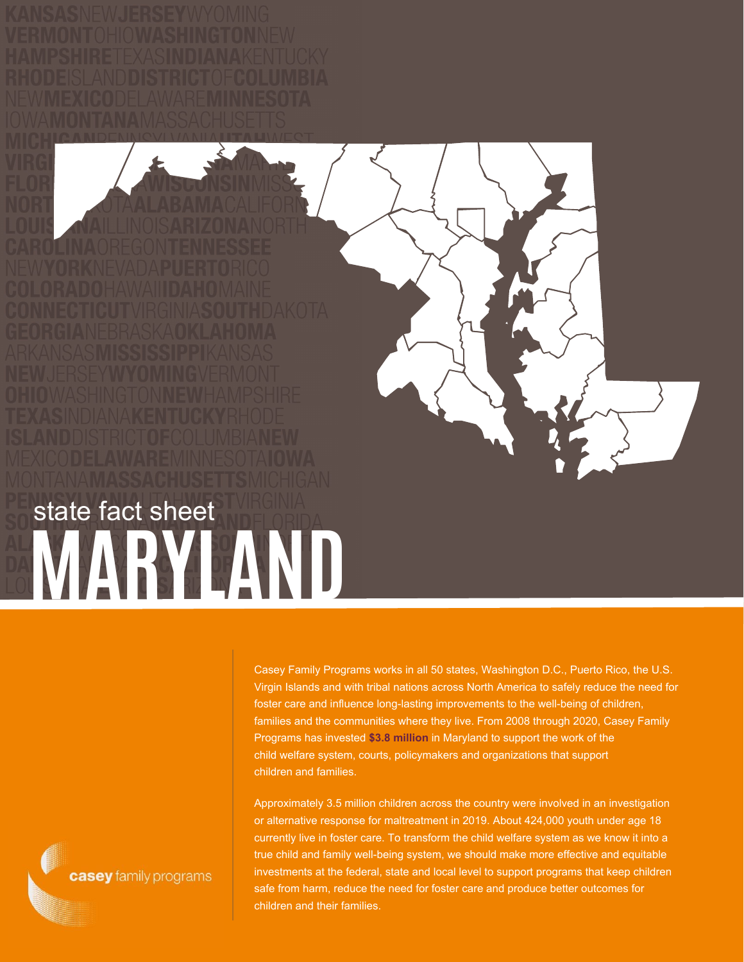Casey Family Programs works in all 50 states, Washington D.C., Puerto Rico, the U.S. Virgin Islands and with tribal nations across North America to safely reduce the need for foster care and influence long-lasting improvements to the well-being of children, families and the communities where they live. From 2008 through 2020, Casey Family Programs has invested **\$3.8 million** in Maryland to support the work of the child welfare system, courts, policymakers and organizations that support children and families.

Approximately 3.5 million children across the country were involved in an investigation or alternative response for maltreatment in 2019. About 424,000 youth under age 18 currently live in foster care. To transform the child welfare system as we know it into a true child and family well-being system, we should make more effective and equitable investments at the federal, state and local level to support programs that keep children safe from harm, reduce the need for foster care and produce better outcomes for children and their families.

casey family programs

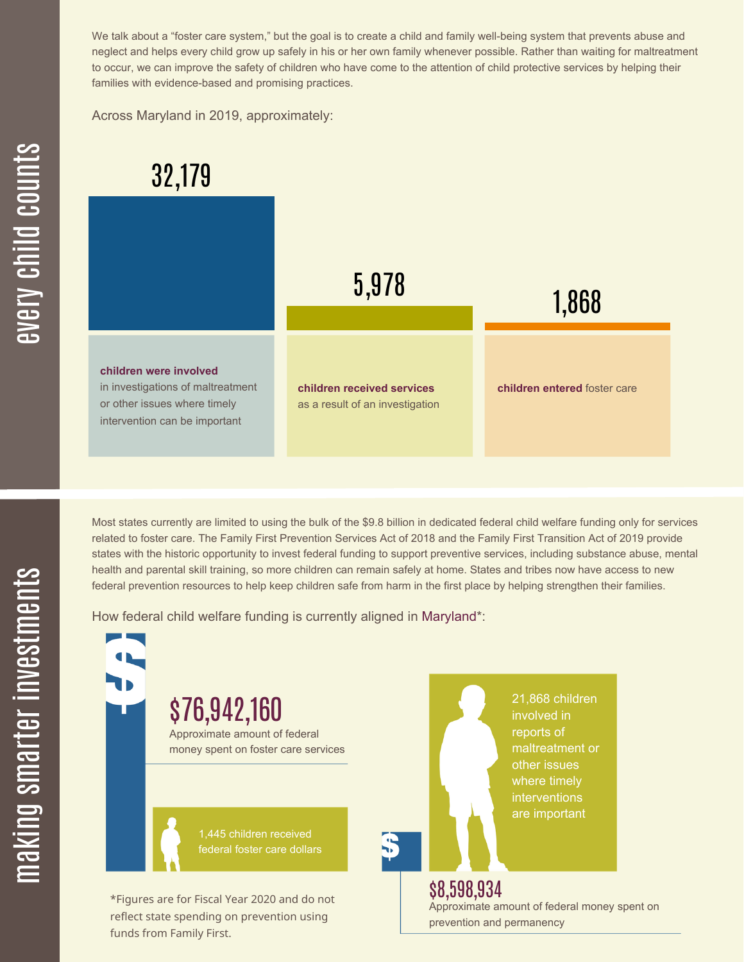We talk about a "foster care system," but the goal is to create a child and family well-being system that prevents abuse and neglect and helps every child grow up safely in his or her own family whenever possible. Rather than waiting for maltreatment to occur, we can improve the safety of children who have come to the attention of child protective services by helping their families with evidence-based and promising practices.

Across Maryland in 2019, approximately:



Most states currently are limited to using the bulk of the \$9.8 billion in dedicated federal child welfare funding only for services related to foster care. The Family First Prevention Services Act of 2018 and the Family First Transition Act of 2019 provide states with the historic opportunity to invest federal funding to support preventive services, including substance abuse, mental health and parental skill training, so more children can remain safely at home. States and tribes now have access to new federal prevention resources to help keep children safe from harm in the first place by helping strengthen their families.

How federal child welfare funding is currently aligned in Maryland\*:



 $\mathbf \Xi$ **CO** kin gs $\mathbf \Xi$ **CO** rtæ r in  $\, >$ c جا  $\mathbf \Xi$ c  $\blacksquare$  $\mathbf{S}$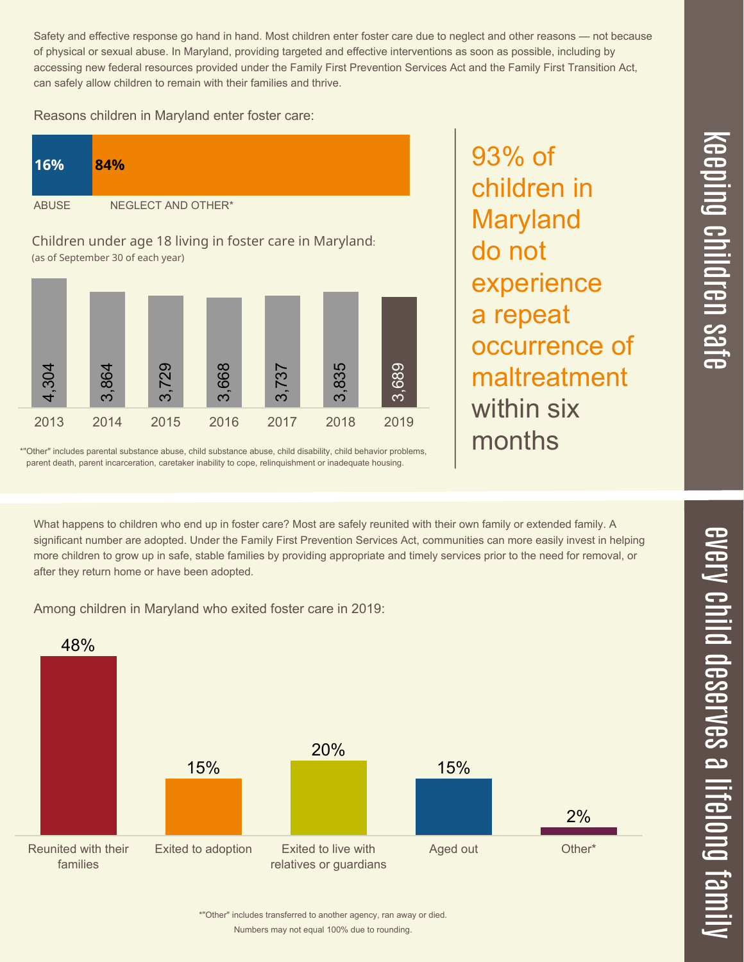Safety and effective response go hand in hand. Most children enter foster care due to neglect and other reasons — not because of physical or sexual abuse. In Maryland, providing targeted and effective interventions as soon as possible, including by accessing new federal resources provided under the Family First Prevention Services Act and the Family First Transition Act, can safely allow children to remain with their families and thrive.

93% of

children in

Maryland

experience

occurrence of

maltreatment

a repeat

within six

months

do not

Reasons children in Maryland enter foster care:

| 16%          | 84%                |
|--------------|--------------------|
| <b>ABUSE</b> | NEGLECT AND OTHER* |

Children under age 18 living in foster care in Maryland: (as of September 30 of each year)



\*"Other" includes parental substance abuse, child substance abuse, child disability, child behavior problems, parent death, parent incarceration, caretaker inability to cope, relinquishment or inadequate housing.

What happens to children who end up in foster care? Most are safely reunited with their own family or extended family. A significant number are adopted. Under the Family First Prevention Services Act, communities can more easily invest in helping more children to grow up in safe, stable families by providing appropriate and timely services prior to the need for removal, or

Among children in Maryland who exited foster care in 2019:

after they return home or have been adopted.



 $\overline{\mathbf{C}}$  $\leq$  $\overline{\mathbf{C}}$  $\overline{\mathsf{Z}}$  $\overline{\mathbf{C}}$ 

 $\equiv$ 

 $\blacksquare$ e  $\boldsymbol{\mathcal{C}}$  $\overline{\mathbf{C}}$  $\overline{\phantom{a}}$  $\overline{\mathbf{C}}$  $\mathcal{C}$ <u>م</u>

 $\equiv$ 

el<br>O  $\overline{\phantom{0}}$  $\blacksquare$ 

t<br>B

mily

Numbers may not equal 100% due to rounding. \*"Other" includes transferred to another agency, ran away or died.